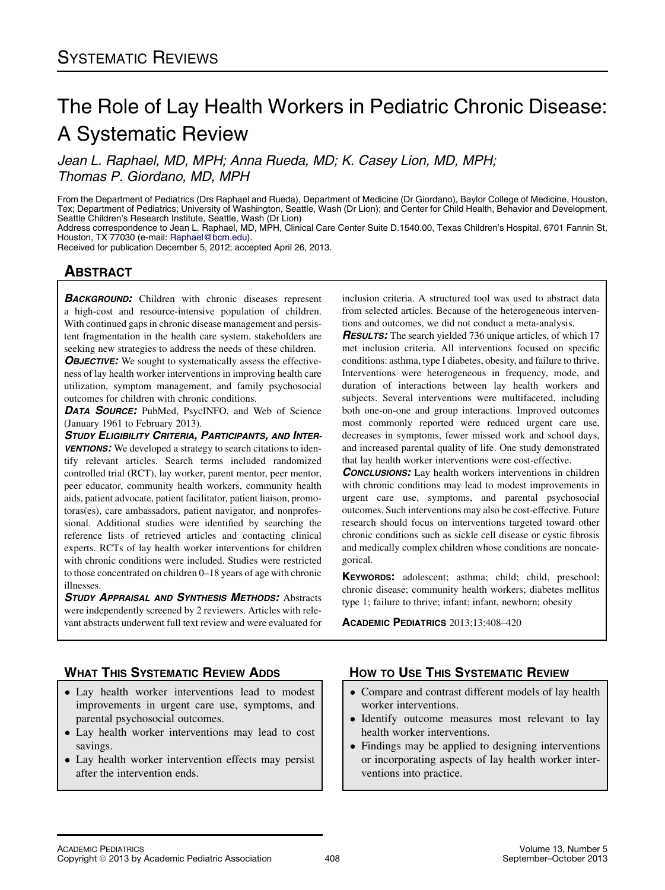# The Role of Lay Health Workers in Pediatric Chronic Disease: A Systematic Review

Jean L. Raphael, MD, MPH; Anna Rueda, MD; K. Casey Lion, MD, MPH; Thomas P. Giordano, MD, MPH

From the Department of Pediatrics (Drs Raphael and Rueda), Department of Medicine (Dr Giordano), Baylor College of Medicine, Houston, Tex; Department of Pediatrics; University of Washington, Seattle, Wash (Dr Lion); and Center for Child Health, Behavior and Development, Seattle Children's Research Institute, Seattle, Wash (Dr Lion) Address correspondence to Jean L. Raphael, MD, MPH, Clinical Care Center Suite D.1540.00, Texas Children's Hospital, 6701 Fannin St,

Houston, TX 77030 (e-mail: [Raphael@bcm.edu](mailto:Raphael@bcm.edu)).

Received for publication December 5, 2012; accepted April 26, 2013.

# <u>ABSOLUTE A BASE A</u>

**BACKGROUND:** Children with chronic diseases represent a high-cost and resource-intensive population of children. With continued gaps in chronic disease management and persistent fragmentation in the health care system, stakeholders are seeking new strategies to address the needs of these children.

**OBJECTIVE:** We sought to systematically assess the effectiveness of lay health worker interventions in improving health care utilization, symptom management, and family psychosocial outcomes for children with chronic conditions.

DATA SOURCE: PubMed, PsycINFO, and Web of Science (January 1961 to February 2013).

STUDY ELIGIBILITY CRITERIA, PARTICIPANTS, AND INTER-VENTIONS: We developed a strategy to search citations to identify relevant articles. Search terms included randomized controlled trial (RCT), lay worker, parent mentor, peer mentor, peer educator, community health workers, community health aids, patient advocate, patient facilitator, patient liaison, promotoras(es), care ambassadors, patient navigator, and nonprofessional. Additional studies were identified by searching the reference lists of retrieved articles and contacting clinical experts. RCTs of lay health worker interventions for children with chronic conditions were included. Studies were restricted to those concentrated on children 0–18 years of age with chronic illnesses.

STUDY APPRAISAL AND SYNTHESIS METHODS: Abstracts were independently screened by 2 reviewers. Articles with relevant abstracts underwent full text review and were evaluated for inclusion criteria. A structured tool was used to abstract data from selected articles. Because of the heterogeneous interventions and outcomes, we did not conduct a meta-analysis.

**RESULTS:** The search yielded 736 unique articles, of which 17 met inclusion criteria. All interventions focused on specific conditions: asthma, type I diabetes, obesity, and failure to thrive. Interventions were heterogeneous in frequency, mode, and duration of interactions between lay health workers and subjects. Several interventions were multifaceted, including both one-on-one and group interactions. Improved outcomes most commonly reported were reduced urgent care use, decreases in symptoms, fewer missed work and school days, and increased parental quality of life. One study demonstrated that lay health worker interventions were cost-effective.

**CONCLUSIONS:** Lay health workers interventions in children with chronic conditions may lead to modest improvements in urgent care use, symptoms, and parental psychosocial outcomes. Such interventions may also be cost-effective. Future research should focus on interventions targeted toward other chronic conditions such as sickle cell disease or cystic fibrosis and medically complex children whose conditions are noncategorical.

KEYWORDS: adolescent; asthma; child; child, preschool; chronic disease; community health workers; diabetes mellitus type 1; failure to thrive; infant; infant, newborn; obesity

ACADEMIC PEDIATRICS 2013;13:408–420

# **WHAT THIS SYSTEMATIC REVIEW ADDS**

- What the state of the system and the state of the system of the state of the system of the state of the system of the system of the system of the system of the system of the system of the system of the system of the system Lay health worker interventions lead to modest improvements in urgent care use, symptoms, and parental psychosocial outcomes.
- Lay health worker interventions may lead to cost savings.
- Lay health worker intervention effects may persist after the intervention ends.

# **HOW TO USE THIS SYSTEMATIC REVIEW**

- $\frac{1}{100}$  Compare and contrast different models of lay health worker interventions.
- Identify outcome measures most relevant to lay health worker interventions.
- Findings may be applied to designing interventions or incorporating aspects of lay health worker interventions into practice.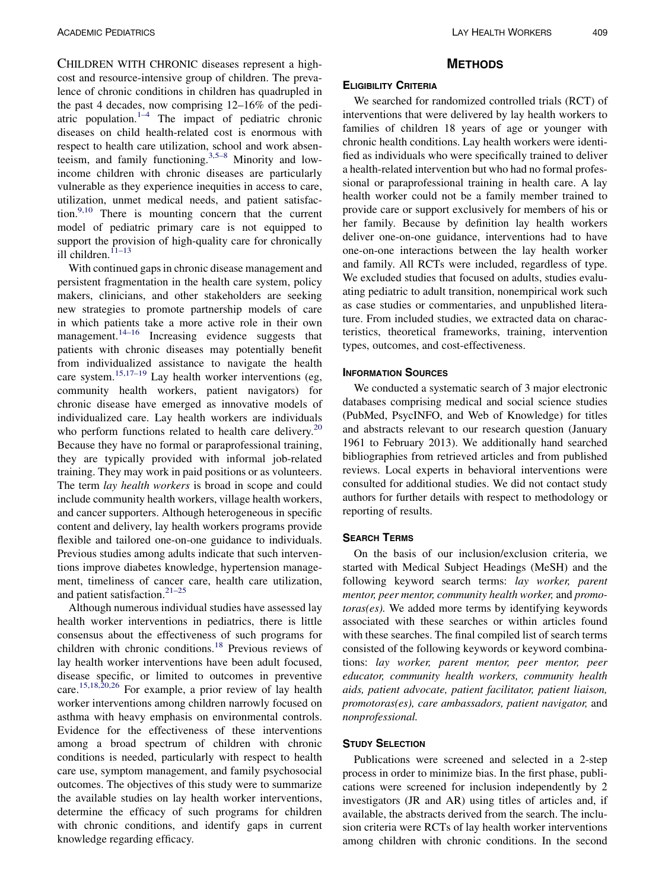CHILDREN WITH CHRONIC diseases represent a highcost and resource-intensive group of children. The prevalence of chronic conditions in children has quadrupled in the past 4 decades, now comprising 12–16% of the pediatric population. $1-4$  The impact of pediatric chronic diseases on child health-related cost is enormous with respect to health care utilization, school and work absen-teeism, and family functioning.<sup>[3,5–8](#page-11-0)</sup> Minority and lowincome children with chronic diseases are particularly vulnerable as they experience inequities in access to care, utilization, unmet medical needs, and patient satisfaction. $9,10$  There is mounting concern that the current model of pediatric primary care is not equipped to support the provision of high-quality care for chronically ill children. $11-13$ 

With continued gaps in chronic disease management and persistent fragmentation in the health care system, policy makers, clinicians, and other stakeholders are seeking new strategies to promote partnership models of care in which patients take a more active role in their own management. $14-16$  Increasing evidence suggests that patients with chronic diseases may potentially benefit from individualized assistance to navigate the health care system.<sup>[15,17–19](#page-11-0)</sup> Lay health worker interventions (eg, community health workers, patient navigators) for chronic disease have emerged as innovative models of individualized care. Lay health workers are individuals who perform functions related to health care delivery.<sup>[20](#page-11-0)</sup> Because they have no formal or paraprofessional training, they are typically provided with informal job-related training. They may work in paid positions or as volunteers. The term *lay health workers* is broad in scope and could include community health workers, village health workers, and cancer supporters. Although heterogeneous in specific content and delivery, lay health workers programs provide flexible and tailored one-on-one guidance to individuals. Previous studies among adults indicate that such interventions improve diabetes knowledge, hypertension management, timeliness of cancer care, health care utilization, and patient satisfaction.<sup>21-25</sup>

Although numerous individual studies have assessed lay health worker interventions in pediatrics, there is little consensus about the effectiveness of such programs for children with chronic conditions.<sup>[18](#page-11-0)</sup> Previous reviews of lay health worker interventions have been adult focused, disease specific, or limited to outcomes in preventive care.[15,18,20,26](#page-11-0) For example, a prior review of lay health worker interventions among children narrowly focused on asthma with heavy emphasis on environmental controls. Evidence for the effectiveness of these interventions among a broad spectrum of children with chronic conditions is needed, particularly with respect to health care use, symptom management, and family psychosocial outcomes. The objectives of this study were to summarize the available studies on lay health worker interventions, determine the efficacy of such programs for children with chronic conditions, and identify gaps in current knowledge regarding efficacy.

# METHODS

# **ELIGIBILITY CRITERIA**

We searched for randomized controlled trials (RCT) of interventions that were delivered by lay health workers to families of children 18 years of age or younger with chronic health conditions. Lay health workers were identified as individuals who were specifically trained to deliver a health-related intervention but who had no formal professional or paraprofessional training in health care. A lay health worker could not be a family member trained to provide care or support exclusively for members of his or her family. Because by definition lay health workers deliver one-on-one guidance, interventions had to have one-on-one interactions between the lay health worker and family. All RCTs were included, regardless of type. We excluded studies that focused on adults, studies evaluating pediatric to adult transition, nonempirical work such as case studies or commentaries, and unpublished literature. From included studies, we extracted data on characteristics, theoretical frameworks, training, intervention types, outcomes, and cost-effectiveness.

We conducted a systematic search of 3 major electronic databases comprising medical and social science studies (PubMed, PsycINFO, and Web of Knowledge) for titles and abstracts relevant to our research question (January 1961 to February 2013). We additionally hand searched bibliographies from retrieved articles and from published reviews. Local experts in behavioral interventions were consulted for additional studies. We did not contact study authors for further details with respect to methodology or reporting of results.

## **SEARCH TERMS**

On the basis of our inclusion/exclusion criteria, we started with Medical Subject Headings (MeSH) and the following keyword search terms: lay worker, parent mentor, peer mentor, community health worker, and promotoras(es). We added more terms by identifying keywords associated with these searches or within articles found with these searches. The final compiled list of search terms consisted of the following keywords or keyword combinations: lay worker, parent mentor, peer mentor, peer educator, community health workers, community health aids, patient advocate, patient facilitator, patient liaison, promotoras(es), care ambassadors, patient navigator, and nonprofessional.

Publications were screened and selected in a 2-step process in order to minimize bias. In the first phase, publications were screened for inclusion independently by 2 investigators (JR and AR) using titles of articles and, if available, the abstracts derived from the search. The inclusion criteria were RCTs of lay health worker interventions among children with chronic conditions. In the second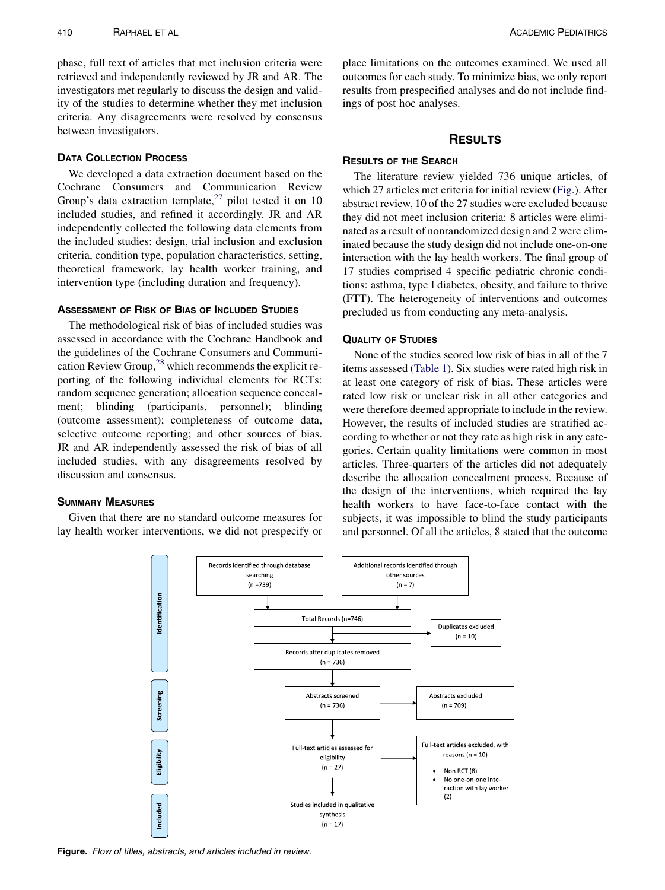phase, full text of articles that met inclusion criteria were retrieved and independently reviewed by JR and AR. The investigators met regularly to discuss the design and validity of the studies to determine whether they met inclusion criteria. Any disagreements were resolved by consensus between investigators.

We developed a data extraction document based on the Cochrane Consumers and Communication Review Group's data extraction template, $27$  pilot tested it on 10 included studies, and refined it accordingly. JR and AR independently collected the following data elements from the included studies: design, trial inclusion and exclusion criteria, condition type, population characteristics, setting, theoretical framework, lay health worker training, and intervention type (including duration and frequency).

The methodological risk of bias of included studies was assessed in accordance with the Cochrane Handbook and the guidelines of the Cochrane Consumers and Communication Review Group, $^{28}$  $^{28}$  $^{28}$  which recommends the explicit reporting of the following individual elements for RCTs: random sequence generation; allocation sequence concealment; blinding (participants, personnel); blinding (outcome assessment); completeness of outcome data, selective outcome reporting; and other sources of bias. JR and AR independently assessed the risk of bias of all included studies, with any disagreements resolved by discussion and consensus.

### **SUMMARY MEASURES**

Given that there are no standard outcome measures for lay health worker interventions, we did not prespecify or

place limitations on the outcomes examined. We used all outcomes for each study. To minimize bias, we only report results from prespecified analyses and do not include findings of post hoc analyses.

# RESULTS

The literature review yielded 736 unique articles, of which 27 articles met criteria for initial review (Fig.). After abstract review, 10 of the 27 studies were excluded because they did not meet inclusion criteria: 8 articles were eliminated as a result of nonrandomized design and 2 were eliminated because the study design did not include one-on-one interaction with the lay health workers. The final group of 17 studies comprised 4 specific pediatric chronic conditions: asthma, type I diabetes, obesity, and failure to thrive (FTT). The heterogeneity of interventions and outcomes precluded us from conducting any meta-analysis.

None of the studies scored low risk of bias in all of the  $7$ items assessed [\(Table 1\)](#page-3-0). Six studies were rated high risk in at least one category of risk of bias. These articles were rated low risk or unclear risk in all other categories and were therefore deemed appropriate to include in the review. However, the results of included studies are stratified according to whether or not they rate as high risk in any categories. Certain quality limitations were common in most articles. Three-quarters of the articles did not adequately describe the allocation concealment process. Because of the design of the interventions, which required the lay health workers to have face-to-face contact with the subjects, it was impossible to blind the study participants and personnel. Of all the articles, 8 stated that the outcome



Figure. Flow of titles, abstracts, and articles included in review.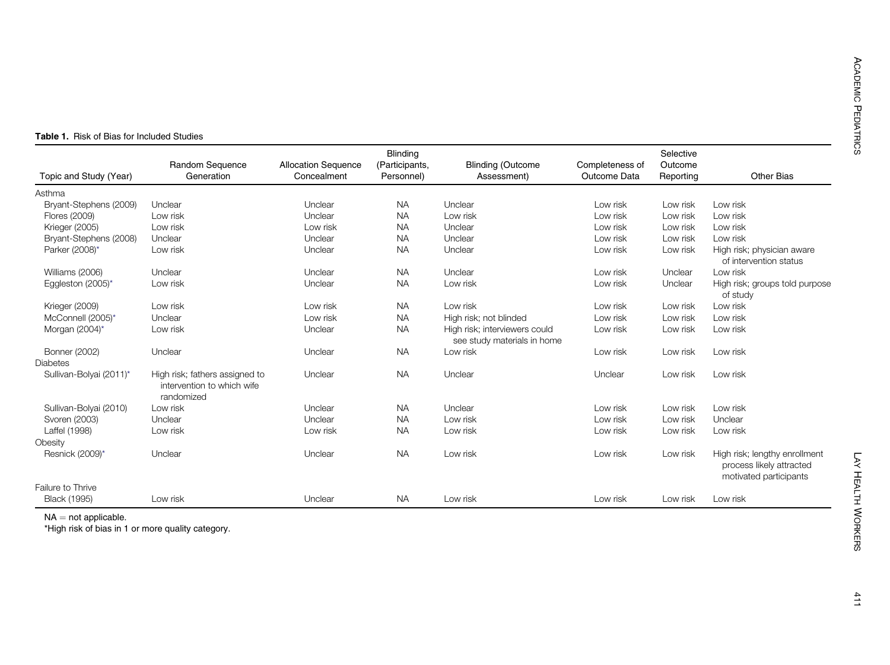### <span id="page-3-0"></span>Table 1. Risk of Bias for Included Studies

|                                   | Random Sequence                                                            | <b>Allocation Sequence</b> | Blinding<br>(Participants, | <b>Blinding (Outcome</b>                                     | Completeness of | Selective<br>Outcome |                                                                                     |
|-----------------------------------|----------------------------------------------------------------------------|----------------------------|----------------------------|--------------------------------------------------------------|-----------------|----------------------|-------------------------------------------------------------------------------------|
| Topic and Study (Year)            | Generation                                                                 | Concealment                | Personnel)                 | Assessment)                                                  | Outcome Data    | Reporting            | <b>Other Bias</b>                                                                   |
| Asthma                            |                                                                            |                            |                            |                                                              |                 |                      |                                                                                     |
| Bryant-Stephens (2009)            | Unclear                                                                    | Unclear                    | <b>NA</b>                  | Unclear                                                      | Low risk        | Low risk             | Low risk                                                                            |
| Flores (2009)                     | Low risk                                                                   | Unclear                    | <b>NA</b>                  | Low risk                                                     | Low risk        | Low risk             | Low risk                                                                            |
| Krieger (2005)                    | Low risk                                                                   | Low risk                   | <b>NA</b>                  | Unclear                                                      | Low risk        | Low risk             | Low risk                                                                            |
| Bryant-Stephens (2008)            | Unclear                                                                    | Unclear                    | <b>NA</b>                  | Unclear                                                      | Low risk        | Low risk             | Low risk                                                                            |
| Parker (2008)*                    | Low risk                                                                   | Unclear                    | <b>NA</b>                  | Unclear                                                      | Low risk        | Low risk             | High risk; physician aware<br>of intervention status                                |
| Williams (2006)                   | Unclear                                                                    | Unclear                    | <b>NA</b>                  | Unclear                                                      | Low risk        | Unclear              | Low risk                                                                            |
| Eggleston (2005)*                 | Low risk                                                                   | Unclear                    | <b>NA</b>                  | Low risk                                                     | Low risk        | Unclear              | High risk; groups told purpose<br>of study                                          |
| Krieger (2009)                    | Low risk                                                                   | Low risk                   | <b>NA</b>                  | Low risk                                                     | Low risk        | Low risk             | Low risk                                                                            |
| McConnell (2005)*                 | Unclear                                                                    | Low risk                   | <b>NA</b>                  | High risk; not blinded                                       | Low risk        | Low risk             | Low risk                                                                            |
| Morgan (2004)*                    | Low risk                                                                   | Unclear                    | <b>NA</b>                  | High risk; interviewers could<br>see study materials in home | Low risk        | Low risk             | Low risk                                                                            |
| Bonner (2002)                     | Unclear                                                                    | Unclear                    | <b>NA</b>                  | Low risk                                                     | Low risk        | Low risk             | Low risk                                                                            |
| <b>Diabetes</b>                   |                                                                            |                            |                            |                                                              |                 |                      |                                                                                     |
| Sullivan-Bolyai (2011)*           | High risk; fathers assigned to<br>intervention to which wife<br>randomized | Unclear                    | <b>NA</b>                  | Unclear                                                      | Unclear         | Low risk             | Low risk                                                                            |
| Sullivan-Bolyai (2010)            | Low risk                                                                   | Unclear                    | <b>NA</b>                  | Unclear                                                      | Low risk        | Low risk             | Low risk                                                                            |
| Svoren (2003)                     | Unclear                                                                    | Unclear                    | <b>NA</b>                  | Low risk                                                     | Low risk        | Low risk             | Unclear                                                                             |
| Laffel (1998)                     | Low risk                                                                   | Low risk                   | <b>NA</b>                  | Low risk                                                     | Low risk        | Low risk             | Low risk                                                                            |
| Obesity                           |                                                                            |                            |                            |                                                              |                 |                      |                                                                                     |
| Resnick (2009)*                   | Unclear                                                                    | Unclear                    | <b>NA</b>                  | Low risk                                                     | Low risk        | Low risk             | High risk; lengthy enrollment<br>process likely attracted<br>motivated participants |
| Failure to Thrive<br>Black (1995) | Low risk                                                                   | Unclear                    | <b>NA</b>                  | Low risk                                                     | Low risk        | Low risk             | Low risk                                                                            |

 $\mathsf{NA} = \mathsf{not}$  applicable.

\*High risk of bias in 1 or more quality category.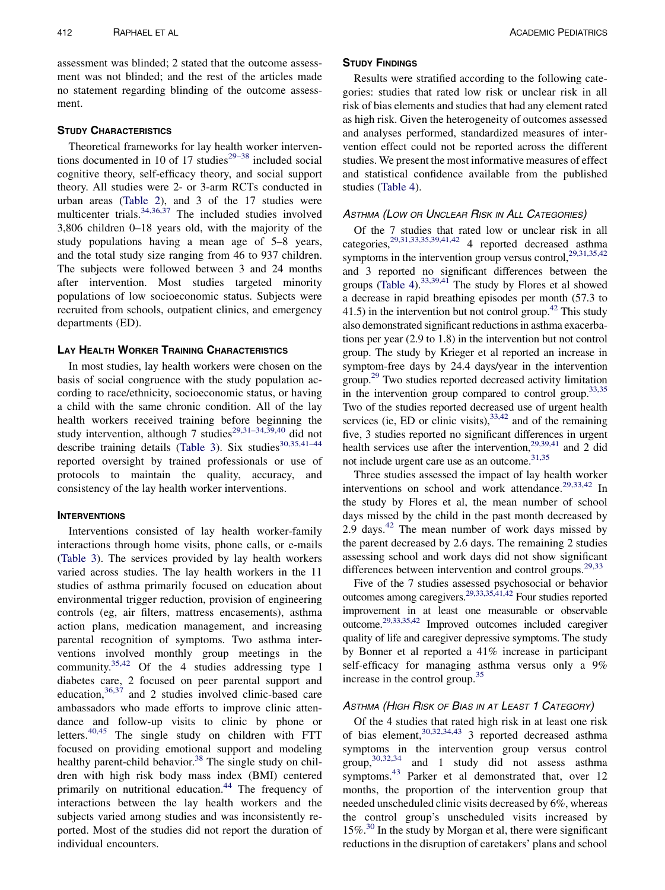assessment was blinded; 2 stated that the outcome assessment was not blinded; and the rest of the articles made no statement regarding blinding of the outcome assessment.

Theoretical frameworks for lay health worker interventions documented in 10 of 17 studies<sup>29-38</sup> included social cognitive theory, self-efficacy theory, and social support theory. All studies were 2- or 3-arm RCTs conducted in urban areas [\(Table 2](#page-5-0)), and 3 of the 17 studies were multicenter trials.<sup>[34,36,37](#page-11-0)</sup> The included studies involved 3,806 children 0–18 years old, with the majority of the study populations having a mean age of 5–8 years, and the total study size ranging from 46 to 937 children. The subjects were followed between 3 and 24 months after intervention. Most studies targeted minority populations of low socioeconomic status. Subjects were recruited from schools, outpatient clinics, and emergency departments (ED).

### **LAY HEALTH WORKER TRAINING CHARACTERISTICS**

In most studies, lay health workers were chosen on the basis of social congruence with the study population according to race/ethnicity, socioeconomic status, or having a child with the same chronic condition. All of the lay health workers received training before beginning the study intervention, although 7 studies<sup>29,31-34,39,40</sup> did not describe training details [\(Table 3](#page-7-0)). Six studies $30,35,41-44$ reported oversight by trained professionals or use of protocols to maintain the quality, accuracy, and consistency of the lay health worker interventions.

### **INTERVENTIONS**

Interventions consisted of lay health worker-family interactions through home visits, phone calls, or e-mails ([Table 3](#page-7-0)). The services provided by lay health workers varied across studies. The lay health workers in the 11 studies of asthma primarily focused on education about environmental trigger reduction, provision of engineering controls (eg, air filters, mattress encasements), asthma action plans, medication management, and increasing parental recognition of symptoms. Two asthma interventions involved monthly group meetings in the community.[35,42](#page-11-0) Of the 4 studies addressing type I diabetes care, 2 focused on peer parental support and education, $36,37$  and 2 studies involved clinic-based care ambassadors who made efforts to improve clinic attendance and follow-up visits to clinic by phone or letters.<sup>[40,45](#page-12-0)</sup> The single study on children with FTT focused on providing emotional support and modeling healthy parent-child behavior.<sup>[38](#page-11-0)</sup> The single study on children with high risk body mass index (BMI) centered primarily on nutritional education.<sup>[44](#page-12-0)</sup> The frequency of interactions between the lay health workers and the subjects varied among studies and was inconsistently reported. Most of the studies did not report the duration of individual encounters.

### **STUDY FINDINGS**

Results were stratified according to the following categories: studies that rated low risk or unclear risk in all risk of bias elements and studies that had any element rated as high risk. Given the heterogeneity of outcomes assessed and analyses performed, standardized measures of intervention effect could not be reported across the different studies. We present the most informative measures of effect and statistical confidence available from the published studies [\(Table 4](#page-9-0)).

### ASTHMA (LOW OR UNCLEAR RISK IN ALL CATEGORIES)

Of the 7 studies that rated low or unclear risk in all categories,  $29,31,33,35,39,41,42$  4 reported decreased asthma symptoms in the intervention group versus control,  $29,31,35,42$ and 3 reported no significant differences between the groups ([Table 4\)](#page-9-0).  $33,39,41$  The study by Flores et al showed a decrease in rapid breathing episodes per month (57.3 to 41.5) in the intervention but not control group.<sup>[42](#page-12-0)</sup> This study also demonstrated significant reductions in asthma exacerbations per year (2.9 to 1.8) in the intervention but not control group. The study by Krieger et al reported an increase in symptom-free days by 24.4 days/year in the intervention group.<sup>[29](#page-11-0)</sup> Two studies reported decreased activity limitation in the intervention group compared to control group.  $33,35$ Two of the studies reported decreased use of urgent health services (ie, ED or clinic visits),  $33,42$  and of the remaining five, 3 studies reported no significant differences in urgent health services use after the intervention,<sup>[29,39,41](#page-11-0)</sup> and 2 did not include urgent care use as an outcome.<sup>31,35</sup>

Three studies assessed the impact of lay health worker interventions on school and work attendance.<sup>[29,33,42](#page-11-0)</sup> In the study by Flores et al, the mean number of school days missed by the child in the past month decreased by 2.9 days. $42$  The mean number of work days missed by the parent decreased by 2.6 days. The remaining 2 studies assessing school and work days did not show significant differences between intervention and control groups.<sup>[29,33](#page-11-0)</sup>

Five of the 7 studies assessed psychosocial or behavior outcomes among caregivers.<sup>29,33,35,41,42</sup> Four studies reported improvement in at least one measurable or observable outcome.[29,33,35,42](#page-11-0) Improved outcomes included caregiver quality of life and caregiver depressive symptoms. The study by Bonner et al reported a 41% increase in participant self-efficacy for managing asthma versus only a 9% increase in the control group. $35$ 

### ASTHMA (HIGH RISK OF BIAS IN AT LEAST 1 CATEGORY)

Of the 4 studies that rated high risk in at least one risk of bias element,  $30,32,34,43$  3 reported decreased asthma symptoms in the intervention group versus control group,  $30,32,34$  and 1 study did not assess asthma symptoms.<sup>[43](#page-12-0)</sup> Parker et al demonstrated that, over 12 months, the proportion of the intervention group that needed unscheduled clinic visits decreased by 6%, whereas the control group's unscheduled visits increased by  $15\%$ <sup>30</sup> In the study by Morgan et al, there were significant reductions in the disruption of caretakers' plans and school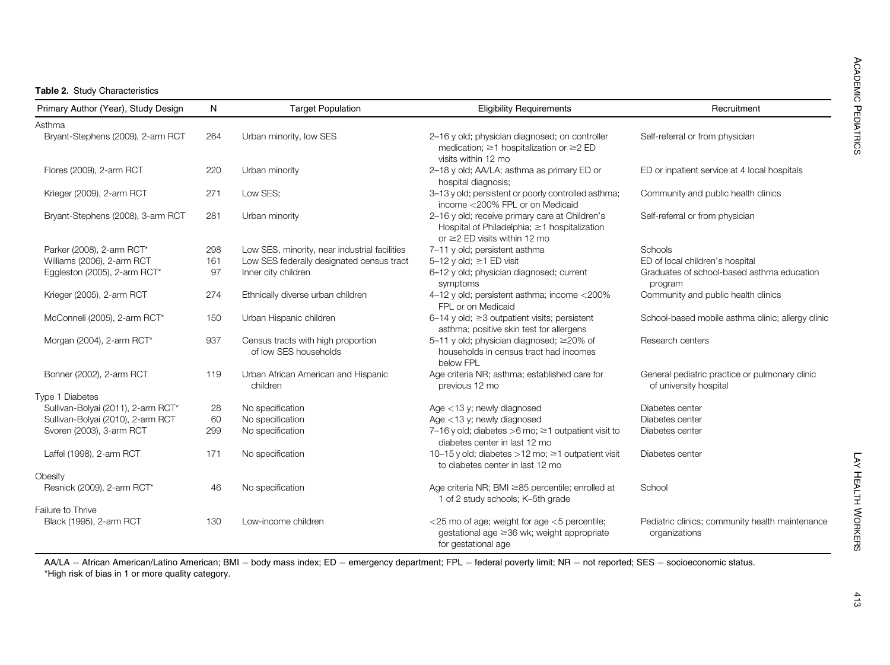<span id="page-5-0"></span>

| Primary Author (Year), Study Design | N   | <b>Target Population</b>                                    | <b>Eligibility Requirements</b>                                                                                                      | Recruitment                                                              |
|-------------------------------------|-----|-------------------------------------------------------------|--------------------------------------------------------------------------------------------------------------------------------------|--------------------------------------------------------------------------|
| Asthma                              |     |                                                             |                                                                                                                                      |                                                                          |
| Bryant-Stephens (2009), 2-arm RCT   | 264 | Urban minority, low SES                                     | 2-16 y old; physician diagnosed; on controller<br>medication; $\geq$ 1 hospitalization or $\geq$ 2 ED<br>visits within 12 mo         | Self-referral or from physician                                          |
| Flores (2009), 2-arm RCT            | 220 | Urban minority                                              | 2-18 y old; AA/LA; asthma as primary ED or<br>hospital diagnosis;                                                                    | ED or inpatient service at 4 local hospitals                             |
| Krieger (2009), 2-arm RCT           | 271 | Low SES:                                                    | 3-13 y old; persistent or poorly controlled asthma;<br>income <200% FPL or on Medicaid                                               | Community and public health clinics                                      |
| Bryant-Stephens (2008), 3-arm RCT   | 281 | Urban minority                                              | 2-16 y old; receive primary care at Children's<br>Hospital of Philadelphia; ≥1 hospitalization<br>or $\geq$ 2 ED visits within 12 mo | Self-referral or from physician                                          |
| Parker (2008), 2-arm RCT*           | 298 | Low SES, minority, near industrial facilities               | 7-11 y old; persistent asthma                                                                                                        | <b>Schools</b>                                                           |
| Williams (2006), 2-arm RCT          | 161 | Low SES federally designated census tract                   | 5-12 y old; $\geq$ 1 ED visit                                                                                                        | ED of local children's hospital                                          |
| Eggleston (2005), 2-arm RCT*        | 97  | Inner city children                                         | 6-12 y old; physician diagnosed; current<br>symptoms                                                                                 | Graduates of school-based asthma education<br>program                    |
| Krieger (2005), 2-arm RCT           | 274 | Ethnically diverse urban children                           | 4-12 y old; persistent asthma; income <200%<br>FPL or on Medicaid                                                                    | Community and public health clinics                                      |
| McConnell (2005), 2-arm RCT*        | 150 | Urban Hispanic children                                     | $6-14$ y old; $\geq 3$ outpatient visits; persistent<br>asthma; positive skin test for allergens                                     | School-based mobile asthma clinic; allergy clinic                        |
| Morgan (2004), 2-arm RCT*           | 937 | Census tracts with high proportion<br>of low SES households | 5-11 y old; physician diagnosed; ≥20% of<br>households in census tract had incomes<br>below FPL                                      | Research centers                                                         |
| Bonner (2002), 2-arm RCT            | 119 | Urban African American and Hispanic<br>children             | Age criteria NR; asthma; established care for<br>previous 12 mo                                                                      | General pediatric practice or pulmonary clinic<br>of university hospital |
| Type 1 Diabetes                     |     |                                                             |                                                                                                                                      |                                                                          |
| Sullivan-Bolyai (2011), 2-arm RCT*  | 28  | No specification                                            | Age $<$ 13 y; newly diagnosed                                                                                                        | Diabetes center                                                          |
| Sullivan-Bolyai (2010), 2-arm RCT   | 60  | No specification                                            | Age <13 y; newly diagnosed                                                                                                           | Diabetes center                                                          |
| Svoren (2003), 3-arm RCT            | 299 | No specification                                            | 7-16 y old; diabetes >6 mo; $\geq$ 1 outpatient visit to<br>diabetes center in last 12 mo                                            | Diabetes center                                                          |
| Laffel (1998), 2-arm RCT            | 171 | No specification                                            | 10-15 y old; diabetes $>$ 12 mo; $\geq$ 1 outpatient visit<br>to diabetes center in last 12 mo                                       | Diabetes center                                                          |
| Obesity                             |     |                                                             |                                                                                                                                      |                                                                          |
| Resnick (2009), 2-arm RCT*          | 46  | No specification                                            | Age criteria NR; BMI ≥85 percentile; enrolled at<br>1 of 2 study schools; K-5th grade                                                | School                                                                   |
| Failure to Thrive                   |     |                                                             |                                                                                                                                      |                                                                          |
| Black (1995), 2-arm RCT             | 130 | Low-income children                                         | <25 mo of age; weight for age <5 percentile;<br>gestational age ≥36 wk; weight appropriate<br>for gestational age                    | Pediatric clinics; community health maintenance<br>organizations         |

AA/LA = African American/Latino American; BMI = body mass index; ED = emergency department; FPL = federal poverty limit; NR = not reported; SES = socioeconomic status. \*High risk of bias in 1 or more quality category.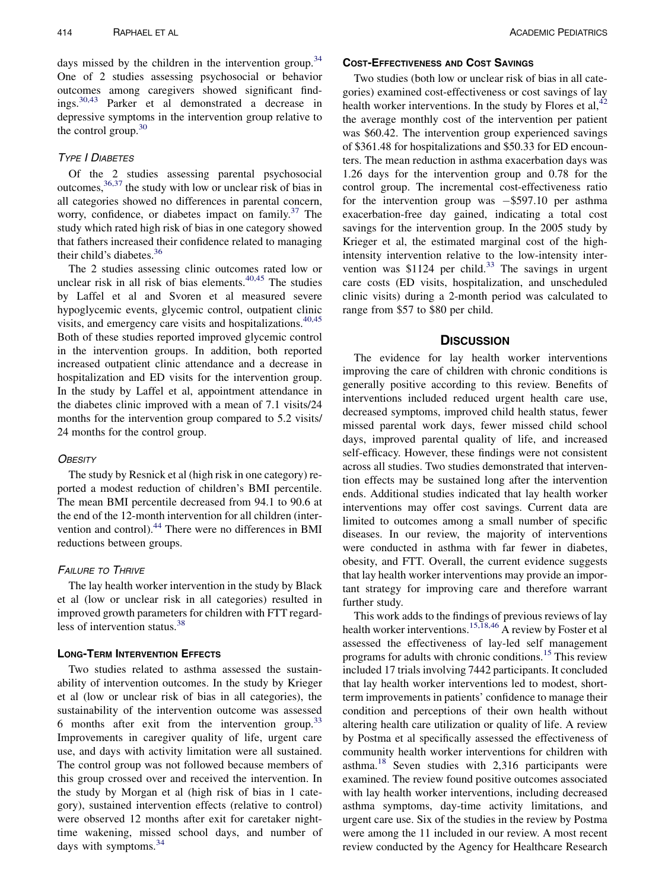days missed by the children in the intervention group.<sup>[34](#page-11-0)</sup> One of 2 studies assessing psychosocial or behavior outcomes among caregivers showed significant findings.[30,43](#page-11-0) Parker et al demonstrated a decrease in depressive symptoms in the intervention group relative to the control group. $30$ 

## TYPE I DIABETES

Of the 2 studies assessing parental psychosocial outcomes,  $36,37$  the study with low or unclear risk of bias in all categories showed no differences in parental concern, worry, confidence, or diabetes impact on family. $37$  The study which rated high risk of bias in one category showed that fathers increased their confidence related to managing their child's diabetes. $36$ 

The 2 studies assessing clinic outcomes rated low or unclear risk in all risk of bias elements. $40,45$  The studies by Laffel et al and Svoren et al measured severe hypoglycemic events, glycemic control, outpatient clinic visits, and emergency care visits and hospitalizations.<sup>[40,45](#page-12-0)</sup> Both of these studies reported improved glycemic control in the intervention groups. In addition, both reported increased outpatient clinic attendance and a decrease in hospitalization and ED visits for the intervention group. In the study by Laffel et al, appointment attendance in the diabetes clinic improved with a mean of 7.1 visits/24 months for the intervention group compared to 5.2 visits/ 24 months for the control group.

### **OBESITY**

The study by Resnick et al (high risk in one category) reported a modest reduction of children's BMI percentile. The mean BMI percentile decreased from 94.1 to 90.6 at the end of the 12-month intervention for all children (inter-vention and control).<sup>[44](#page-12-0)</sup> There were no differences in BMI reductions between groups.

### FAILURE TO THRIVE

The lay health worker intervention in the study by Black et al (low or unclear risk in all categories) resulted in improved growth parameters for children with FTT regardless of intervention status.[38](#page-11-0)

### **LONG-TERM INTERVENTION EFFECTS**

Two studies related to asthma assessed the sustainability of intervention outcomes. In the study by Krieger et al (low or unclear risk of bias in all categories), the sustainability of the intervention outcome was assessed 6 months after exit from the intervention group. $33$ Improvements in caregiver quality of life, urgent care use, and days with activity limitation were all sustained. The control group was not followed because members of this group crossed over and received the intervention. In the study by Morgan et al (high risk of bias in 1 category), sustained intervention effects (relative to control) were observed 12 months after exit for caretaker nighttime wakening, missed school days, and number of days with symptoms. $34$ 

## **COST-EFFECTIVENESS AND COST SAVINGS**

Two studies (both low or unclear risk of bias in all categories) examined cost-effectiveness or cost savings of lay health worker interventions. In the study by Flores et al,  $42$ the average monthly cost of the intervention per patient was \$60.42. The intervention group experienced savings of \$361.48 for hospitalizations and \$50.33 for ED encounters. The mean reduction in asthma exacerbation days was 1.26 days for the intervention group and 0.78 for the control group. The incremental cost-effectiveness ratio for the intervention group was  $-$ \$597.10 per asthma exacerbation-free day gained, indicating a total cost savings for the intervention group. In the 2005 study by Krieger et al, the estimated marginal cost of the highintensity intervention relative to the low-intensity intervention was  $$1124$  per child.<sup>[33](#page-11-0)</sup> The savings in urgent care costs (ED visits, hospitalization, and unscheduled clinic visits) during a 2-month period was calculated to range from \$57 to \$80 per child.

The evidence for lay health worker interventions improving the care of children with chronic conditions is generally positive according to this review. Benefits of interventions included reduced urgent health care use, decreased symptoms, improved child health status, fewer missed parental work days, fewer missed child school days, improved parental quality of life, and increased self-efficacy. However, these findings were not consistent across all studies. Two studies demonstrated that intervention effects may be sustained long after the intervention ends. Additional studies indicated that lay health worker interventions may offer cost savings. Current data are limited to outcomes among a small number of specific diseases. In our review, the majority of interventions were conducted in asthma with far fewer in diabetes, obesity, and FTT. Overall, the current evidence suggests that lay health worker interventions may provide an important strategy for improving care and therefore warrant further study.

This work adds to the findings of previous reviews of lay health worker interventions.<sup>[15,18,46](#page-11-0)</sup> A review by Foster et al assessed the effectiveness of lay-led self management programs for adults with chronic conditions.[15](#page-11-0) This review included 17 trials involving 7442 participants. It concluded that lay health worker interventions led to modest, shortterm improvements in patients' confidence to manage their condition and perceptions of their own health without altering health care utilization or quality of life. A review by Postma et al specifically assessed the effectiveness of community health worker interventions for children with asthma.<sup>[18](#page-11-0)</sup> Seven studies with 2,316 participants were examined. The review found positive outcomes associated with lay health worker interventions, including decreased asthma symptoms, day-time activity limitations, and urgent care use. Six of the studies in the review by Postma were among the 11 included in our review. A most recent review conducted by the Agency for Healthcare Research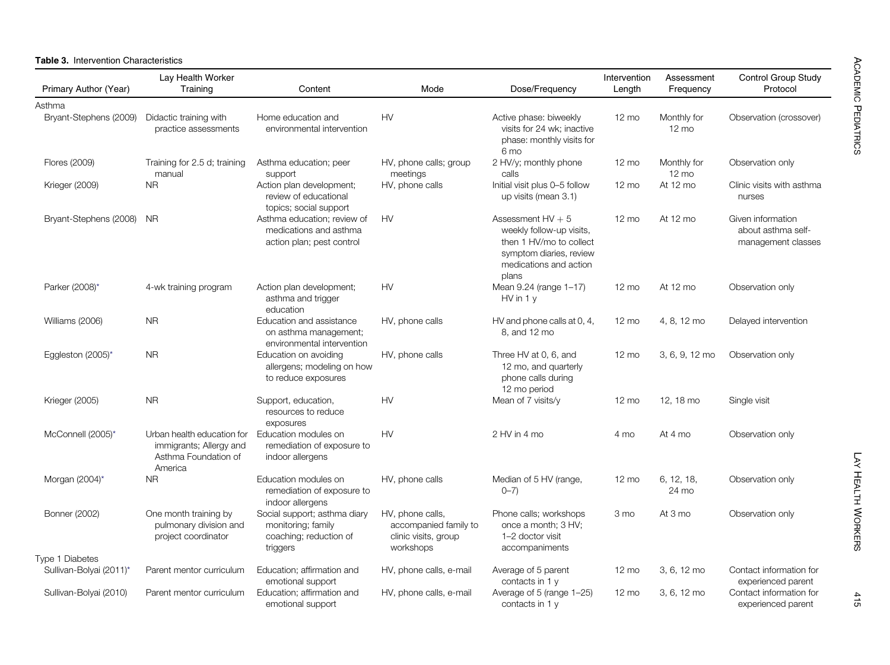<span id="page-7-0"></span>Table 3. Intervention Characteristics

| Primary Author (Year)                             | Lay Health Worker<br>Training                                                            | Content                                                                                  | Mode                                                                           | Dose/Frequency                                                                                                                           | Intervention<br>Length | Assessment<br>Frequency        | Control Group Study<br>Protocol                               |
|---------------------------------------------------|------------------------------------------------------------------------------------------|------------------------------------------------------------------------------------------|--------------------------------------------------------------------------------|------------------------------------------------------------------------------------------------------------------------------------------|------------------------|--------------------------------|---------------------------------------------------------------|
| Asthma                                            |                                                                                          |                                                                                          |                                                                                |                                                                                                                                          |                        |                                |                                                               |
| Bryant-Stephens (2009)                            | Didactic training with<br>practice assessments                                           | Home education and<br>environmental intervention                                         | <b>HV</b>                                                                      | Active phase: biweekly<br>visits for 24 wk; inactive<br>phase: monthly visits for<br>6 mo                                                | $12 \text{ mo}$        | Monthly for<br>$12 \text{ mo}$ | Observation (crossover)                                       |
| Flores (2009)                                     | Training for 2.5 d; training<br>manual                                                   | Asthma education; peer<br>support                                                        | HV, phone calls; group<br>meetings                                             | 2 HV/y; monthly phone<br>calls                                                                                                           | $12 \text{ mo}$        | Monthly for<br>$12 \text{ mo}$ | Observation only                                              |
| Krieger (2009)                                    | <b>NR</b>                                                                                | Action plan development;<br>review of educational<br>topics; social support              | HV, phone calls                                                                | Initial visit plus 0-5 follow<br>up visits (mean 3.1)                                                                                    | $12 \text{ mo}$        | At 12 mo                       | Clinic visits with asthma<br>nurses                           |
| Bryant-Stephens (2008)                            | <b>NR</b>                                                                                | Asthma education; review of<br>medications and asthma<br>action plan; pest control       | <b>HV</b>                                                                      | Assessment $HV + 5$<br>weekly follow-up visits,<br>then 1 HV/mo to collect<br>symptom diaries, review<br>medications and action<br>plans | $12 \text{ mo}$        | At 12 mo                       | Given information<br>about asthma self-<br>management classes |
| Parker (2008)*                                    | 4-wk training program                                                                    | Action plan development;<br>asthma and trigger<br>education                              | <b>HV</b>                                                                      | Mean 9.24 (range 1-17)<br>$HV$ in 1 $y$                                                                                                  | $12 \text{ mo}$        | At 12 mo                       | Observation only                                              |
| Williams (2006)                                   | <b>NR</b>                                                                                | Education and assistance<br>on asthma management;<br>environmental intervention          | HV, phone calls                                                                | HV and phone calls at 0, 4,<br>8. and 12 mo                                                                                              | $12 \text{ mo}$        | 4, 8, 12 mo                    | Delayed intervention                                          |
| Eggleston (2005)*                                 | <b>NR</b>                                                                                | Education on avoiding<br>allergens; modeling on how<br>to reduce exposures               | HV, phone calls                                                                | Three HV at 0, 6, and<br>12 mo, and quarterly<br>phone calls during<br>12 mo period                                                      | $12 \text{ mo}$        | 3, 6, 9, 12 mo                 | Observation only                                              |
| Krieger (2005)                                    | <b>NR</b>                                                                                | Support, education,<br>resources to reduce<br>exposures                                  | <b>HV</b>                                                                      | Mean of 7 visits/y                                                                                                                       | $12 \text{ mo}$        | 12.18 mo                       | Single visit                                                  |
| McConnell (2005)*                                 | Urban health education for<br>immigrants; Allergy and<br>Asthma Foundation of<br>America | Education modules on<br>remediation of exposure to<br>indoor allergens                   | <b>HV</b>                                                                      | 2 HV in 4 mo                                                                                                                             | 4 mo                   | At 4 mo                        | Observation only                                              |
| Morgan (2004)*                                    | <b>NR</b>                                                                                | Education modules on<br>remediation of exposure to<br>indoor allergens                   | HV, phone calls                                                                | Median of 5 HV (range,<br>$0 - 7$ )                                                                                                      | $12 \text{ mo}$        | 6, 12, 18,<br>24 mo            | Observation only                                              |
| Bonner (2002)                                     | One month training by<br>pulmonary division and<br>project coordinator                   | Social support; asthma diary<br>monitoring; family<br>coaching; reduction of<br>triggers | HV, phone calls,<br>accompanied family to<br>clinic visits, group<br>workshops | Phone calls; workshops<br>once a month; 3 HV;<br>1-2 doctor visit<br>accompaniments                                                      | 3 mo                   | At 3 mo                        | Observation only                                              |
| <b>Type 1 Diabetes</b><br>Sullivan-Bolyai (2011)* | Parent mentor curriculum                                                                 | Education; affirmation and<br>emotional support                                          | HV, phone calls, e-mail                                                        | Average of 5 parent<br>contacts in 1 y                                                                                                   | $12 \text{ mo}$        | 3, 6, 12 mo                    | Contact information for<br>experienced parent                 |
| Sullivan-Bolyai (2010)                            | Parent mentor curriculum                                                                 | Education; affirmation and<br>emotional support                                          | HV, phone calls, e-mail                                                        | Average of 5 (range 1-25)<br>contacts in 1 y                                                                                             | $12 \text{ mo}$        | 3, 6, 12 mo                    | Contact information for<br>experienced parent                 |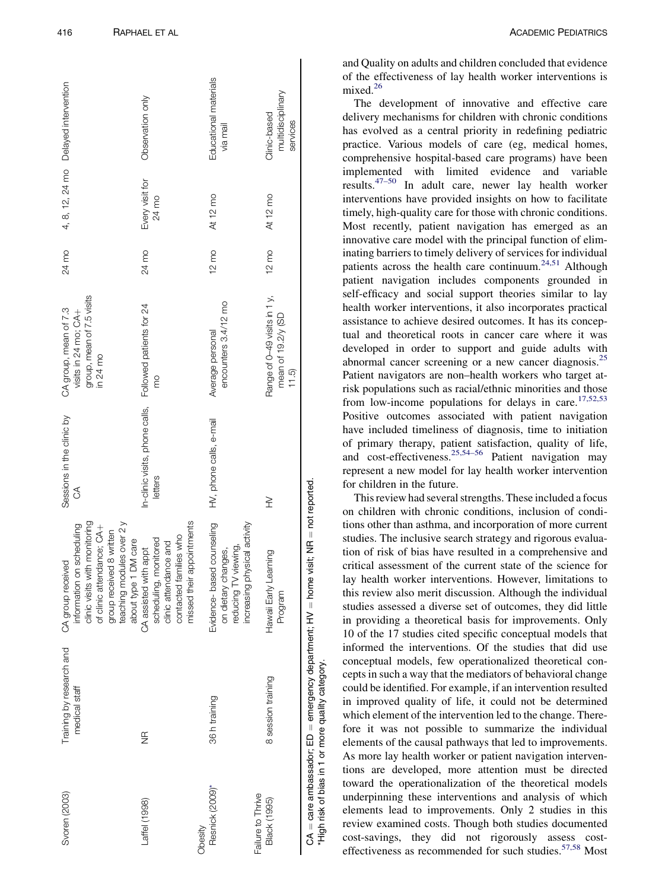| Svoren (2003)                            | Training by research and<br>medical staff         | teaching modules over 2 y<br>clinic visits with monitoring<br>information on scheduling<br>of clinic attendance; CA+<br>group received 8 written<br>about type 1 DM care<br>CA group received | Sessions in the clinic by<br>S            | group, mean of 7.5 visits<br>CA group, mean of 7.3<br>visits in 24 mo; CA+<br>in $24 \text{ mo}$ | 24 mo           |                          | 4, 8, 12, 24 mo Delayed intervention          |
|------------------------------------------|---------------------------------------------------|-----------------------------------------------------------------------------------------------------------------------------------------------------------------------------------------------|-------------------------------------------|--------------------------------------------------------------------------------------------------|-----------------|--------------------------|-----------------------------------------------|
| Laffel (1998)                            | $\frac{\alpha}{2}$                                | missed their appointments<br>contacted families who<br>scheduling, monitored<br>clinic attendance and<br>CA assisted with appt                                                                | In-clinic visits, phone calls,<br>letters | Followed patients for 24<br>mo                                                                   | 24 mo           | Every visit for<br>24 mo | Observation only                              |
| Resnick (2009)*<br>Obesity               | 36h training                                      | Evidence-based counseling<br>increasing physical activity<br>reducing TV viewing,<br>on dietary changes,                                                                                      | HV, phone calls, e-mail                   | encounters 3.4/12 mo<br>Average personal                                                         | $12 \text{ mo}$ | At 12 mo                 | Educational materials<br>via mail             |
| Failure to Thrive<br><b>Black</b> (1995) | 8 session training                                | Hawaii Early Learning<br>Program                                                                                                                                                              | $\geq$                                    | Range of 0-49 visits in 1 y,<br>mean of 19.2/y (SD<br>11.5                                       | $12 \text{ mo}$ | At 12 mo                 | multidisciplinary<br>Clinic-based<br>services |
|                                          | *High risk of bias in 1 or more quality category. | CA = care ambassador; ED = emergency department; HV = home visit; NR = not reported.                                                                                                          |                                           |                                                                                                  |                 |                          |                                               |

and Quality on adults and children concluded that evidence of the effectiveness of lay health worker interventions is mixed.<sup>[26](#page-11-0)</sup>

The development of innovative and effective care delivery mechanisms for children with chronic conditions has evolved as a central priority in redefining pediatric practice. Various models of care (eg, medical homes, comprehensive hospital-based care programs) have been implemented with limited evidence and variable results.[47–50](#page-12-0) In adult care, newer lay health worker interventions have provided insights on how to facilitate timely, high-quality care for those with chronic conditions. Most recently, patient navigation has emerged as an innovative care model with the principal function of eliminating barriers to timely delivery of services for individual patients across the health care continuum.<sup>[24,51](#page-11-0)</sup> Although patient navigation includes components grounded in self-efficacy and social support theories similar to lay health worker interventions, it also incorporates practical assistance to achieve desired outcomes. It has its conceptual and theoretical roots in cancer care where it was developed in order to support and guide adults with abnormal cancer screening or a new cancer diagnosis.<sup>[25](#page-11-0)</sup> Patient navigators are non–health workers who target atrisk populations such as racial/ethnic minorities and those from low-income populations for delays in care.<sup>[17,52,53](#page-11-0)</sup> Positive outcomes associated with patient navigation have included timeliness of diagnosis, time to initiation of primary therapy, patient satisfaction, quality of life, and cost-effectiveness.<sup>25,54–56</sup> Patient navigation may represent a new model for lay health worker intervention for children in the future.

This review had several strengths. These included a focus on children with chronic conditions, inclusion of conditions other than asthma, and incorporation of more current studies. The inclusive search strategy and rigorous evaluation of risk of bias have resulted in a comprehensive and critical assessment of the current state of the science for lay health worker interventions. However, limitations to this review also merit discussion. Although the individual studies assessed a diverse set of outcomes, they did little in providing a theoretical basis for improvements. Only 10 of the 17 studies cited specific conceptual models that informed the interventions. Of the studies that did use conceptual models, few operationalized theoretical concepts in such a way that the mediators of behavioral change could be identified. For example, if an intervention resulted in improved quality of life, it could not be determined which element of the intervention led to the change. Therefore it was not possible to summarize the individual elements of the causal pathways that led to improvements. As more lay health worker or patient navigation interventions are developed, more attention must be directed toward the operationalization of the theoretical models underpinning these interventions and analysis of which elements lead to improvements. Only 2 studies in this review examined costs. Though both studies documented cost-savings, they did not rigorously assess costeffectiveness as recommended for such studies.[57,58](#page-12-0) Most

\*High risk of bias in 1 or more quality category.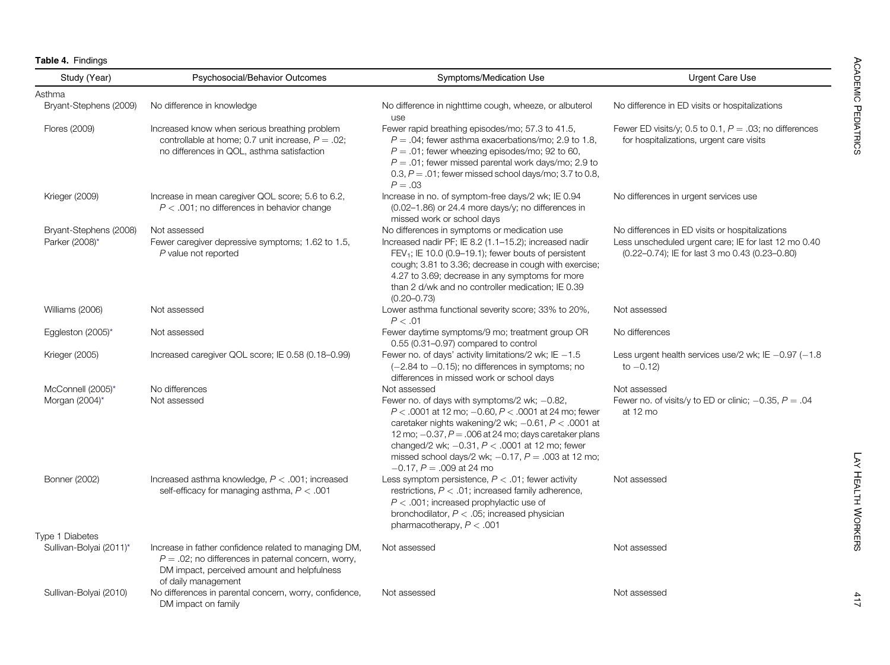<span id="page-9-0"></span>

| Study (Year)                             | Psychosocial/Behavior Outcomes                                                                                                                                                         | Symptoms/Medication Use                                                                                                                                                                                                                                                                                                                                                                  | <b>Urgent Care Use</b>                                                                                                                                    |
|------------------------------------------|----------------------------------------------------------------------------------------------------------------------------------------------------------------------------------------|------------------------------------------------------------------------------------------------------------------------------------------------------------------------------------------------------------------------------------------------------------------------------------------------------------------------------------------------------------------------------------------|-----------------------------------------------------------------------------------------------------------------------------------------------------------|
| Asthma                                   |                                                                                                                                                                                        |                                                                                                                                                                                                                                                                                                                                                                                          |                                                                                                                                                           |
| Bryant-Stephens (2009)                   | No difference in knowledge                                                                                                                                                             | No difference in nighttime cough, wheeze, or albuterol<br>use                                                                                                                                                                                                                                                                                                                            | No difference in ED visits or hospitalizations                                                                                                            |
| Flores (2009)                            | Increased know when serious breathing problem<br>controllable at home; 0.7 unit increase, $P = .02$ ;<br>no differences in QOL, asthma satisfaction                                    | Fewer rapid breathing episodes/mo; 57.3 to 41.5,<br>$P = .04$ ; fewer asthma exacerbations/mo; 2.9 to 1.8,<br>$P = .01$ ; fewer wheezing episodes/mo; 92 to 60,<br>$P = .01$ ; fewer missed parental work days/mo; 2.9 to<br>0.3, $P = .01$ ; fewer missed school days/mo; 3.7 to 0.8,<br>$P=.03$                                                                                        | Fewer ED visits/y; 0.5 to 0.1, $P = .03$ ; no differences<br>for hospitalizations, urgent care visits                                                     |
| Krieger (2009)                           | Increase in mean caregiver QOL score; 5.6 to 6.2,<br>$P < .001$ ; no differences in behavior change                                                                                    | Increase in no. of symptom-free days/2 wk; IE 0.94<br>(0.02-1.86) or 24.4 more days/y; no differences in<br>missed work or school days                                                                                                                                                                                                                                                   | No differences in urgent services use                                                                                                                     |
| Bryant-Stephens (2008)<br>Parker (2008)* | Not assessed<br>Fewer caregiver depressive symptoms; 1.62 to 1.5,<br>P value not reported                                                                                              | No differences in symptoms or medication use<br>Increased nadir PF; IE 8.2 (1.1-15.2); increased nadir<br>FEV <sub>1</sub> ; IE 10.0 (0.9–19.1); fewer bouts of persistent                                                                                                                                                                                                               | No differences in ED visits or hospitalizations<br>Less unscheduled urgent care; IE for last 12 mo 0.40<br>(0.22-0.74); IE for last 3 mo 0.43 (0.23-0.80) |
|                                          |                                                                                                                                                                                        | cough; 3.81 to 3.36; decrease in cough with exercise;<br>4.27 to 3.69; decrease in any symptoms for more<br>than 2 d/wk and no controller medication; IE 0.39<br>$(0.20 - 0.73)$                                                                                                                                                                                                         |                                                                                                                                                           |
| Williams (2006)                          | Not assessed                                                                                                                                                                           | Lower asthma functional severity score; 33% to 20%,<br>P < .01                                                                                                                                                                                                                                                                                                                           | Not assessed                                                                                                                                              |
| Eggleston $(2005)^*$                     | Not assessed                                                                                                                                                                           | Fewer daytime symptoms/9 mo; treatment group OR<br>$0.55$ (0.31-0.97) compared to control                                                                                                                                                                                                                                                                                                | No differences                                                                                                                                            |
| Krieger (2005)                           | Increased caregiver QOL score; IE 0.58 (0.18-0.99)                                                                                                                                     | Fewer no. of days' activity limitations/2 wk; $IE = 1.5$<br>$(-2.84$ to $-0.15)$ ; no differences in symptoms; no<br>differences in missed work or school days                                                                                                                                                                                                                           | Less urgent health services use/2 wk; $IE -0.97$ (-1.8)<br>to $-0.12$ )                                                                                   |
| McConnell (2005)*                        | No differences                                                                                                                                                                         | Not assessed                                                                                                                                                                                                                                                                                                                                                                             | Not assessed                                                                                                                                              |
| Morgan (2004)*                           | Not assessed                                                                                                                                                                           | Fewer no. of days with symptoms/2 wk; $-0.82$ ,<br>$P < .0001$ at 12 mo; $-0.60$ , $P < .0001$ at 24 mo; fewer<br>caretaker nights wakening/2 wk; $-0.61$ , $P < .0001$ at<br>12 mo; $-0.37$ , $P = .006$ at 24 mo; days caretaker plans<br>changed/2 wk; $-0.31$ , $P < .0001$ at 12 mo; fewer<br>missed school days/2 wk; $-0.17$ , $P = .003$ at 12 mo;<br>$-0.17, P = .009$ at 24 mo | Fewer no. of visits/y to ED or clinic; $-0.35$ , $P = .04$<br>at 12 mo                                                                                    |
| Bonner (2002)                            | Increased asthma knowledge, $P < .001$ ; increased<br>self-efficacy for managing asthma, $P < .001$                                                                                    | Less symptom persistence, $P < .01$ ; fewer activity<br>restrictions, $P < .01$ ; increased family adherence,<br>$P < .001$ ; increased prophylactic use of<br>bronchodilator, $P < .05$ ; increased physician<br>pharmacotherapy, $P < .001$                                                                                                                                            | Not assessed                                                                                                                                              |
| Type 1 Diabetes                          |                                                                                                                                                                                        |                                                                                                                                                                                                                                                                                                                                                                                          |                                                                                                                                                           |
| Sullivan-Bolyai (2011)*                  | Increase in father confidence related to managing DM,<br>$P = 0.02$ ; no differences in paternal concern, worry,<br>DM impact, perceived amount and helpfulness<br>of daily management | Not assessed                                                                                                                                                                                                                                                                                                                                                                             | Not assessed                                                                                                                                              |
| Sullivan-Bolyai (2010)                   | No differences in parental concern, worry, confidence,<br>DM impact on family                                                                                                          | Not assessed                                                                                                                                                                                                                                                                                                                                                                             | Not assessed                                                                                                                                              |

417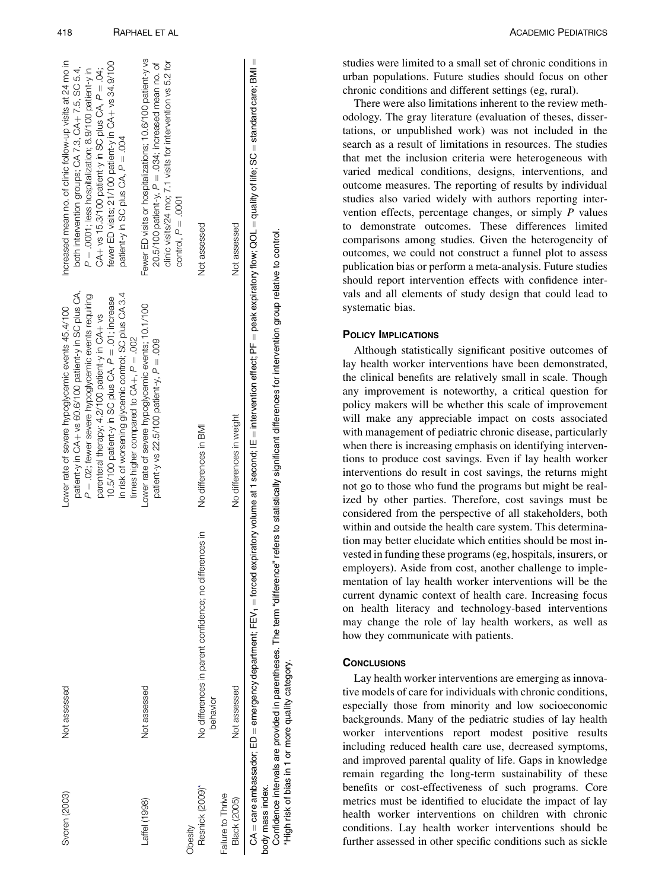| Svoren (2003)                     | Not assessed                                                       | patient-y in CA+ vs 60.6/100 patient-y in SC plus CA,<br>in risk of worsening glycemic control; SC plus CA 3.4<br>P = .02; fewer severe hypoglycemic events requiring<br>10.5/100 patient-y in SC plus CA, P = .01; increase<br>Lower rate of severe hypoglycemic events 45.4/100<br>parenteral therapy; 4.2/100 patient-y in CA+ vs<br>times higher compared to $CA +$ , $P = .002$ | Increased mean no. of clinic follow-up visits at 24 mo in<br>fewer ED visits; 21/100 patient-y in CA+ vs 34.9/100<br>both intervention groups; CA 7.3, CA+7.5, SC 5.4,<br>CA+ vs 15.3/100 patient-y in SC plus CA, $P = .04$ ;<br>$P = 0001$ ; less hospitalization; 8.9/100 patient-y in<br>patient-y in SC plus CA, $P = .004$ |
|-----------------------------------|--------------------------------------------------------------------|--------------------------------------------------------------------------------------------------------------------------------------------------------------------------------------------------------------------------------------------------------------------------------------------------------------------------------------------------------------------------------------|----------------------------------------------------------------------------------------------------------------------------------------------------------------------------------------------------------------------------------------------------------------------------------------------------------------------------------|
| Laffel (1998)                     | Not assessed                                                       | Lower rate of severe hypoglycemic events; 10.1/100<br>patient-y vs 22.5/100 patient-y, $P = .009$                                                                                                                                                                                                                                                                                    | Fewer ED visits or hospitalizations; 10.6/100 patient-y vs<br>clinic visits/24 mo; 7.1 visits for intervention vs 5.2 for<br>20.5/100 patient-y, $P = .034$ ; increased mean no. of<br>control, $P = .0001$                                                                                                                      |
| Resnick (2009)*<br>Obesity        | No differences in parent confidence; no differences in<br>behavior | No differences in BMI                                                                                                                                                                                                                                                                                                                                                                | Not assessed                                                                                                                                                                                                                                                                                                                     |
| Failure to Thrive<br>Black (2005) | Not assessed                                                       | No differences in weight                                                                                                                                                                                                                                                                                                                                                             | Not assessed                                                                                                                                                                                                                                                                                                                     |
|                                   |                                                                    | CA = care ambassador; ED = emergency department; FEV <sub>1</sub> = forced expiratory volume at 1 second; IE = intervention effect; PF = peak expiratory flow; QOL = quality of life; SC = standard care; BMI =                                                                                                                                                                      |                                                                                                                                                                                                                                                                                                                                  |

Confidence intervals are provided in parentheses. The term "difference" refers to statistically significant differences for intervention group relative to control. Confidence intervals are provided in parentheses. The term "difference" refers to statistically significant differences for intervention group relative to control. body mass index. body mass index.

\*High risk of bias in 1 or more quality category. more quality category "High risk of bias in 1 or

And the state of the state of the state of the state of the state of the state of the state of the state of the state of the state of the state of the state of the state of the state of the state of the state of the state

studies were limited to a small set of chronic conditions in urban populations. Future studies should focus on other chronic conditions and different settings (eg, rural).

There were also limitations inherent to the review methodology. The gray literature (evaluation of theses, dissertations, or unpublished work) was not included in the search as a result of limitations in resources. The studies that met the inclusion criteria were heterogeneous with varied medical conditions, designs, interventions, and outcome measures. The reporting of results by individual studies also varied widely with authors reporting intervention effects, percentage changes, or simply  $P$  values to demonstrate outcomes. These differences limited comparisons among studies. Given the heterogeneity of outcomes, we could not construct a funnel plot to assess publication bias or perform a meta-analysis. Future studies should report intervention effects with confidence intervals and all elements of study design that could lead to systematic bias.

Although statistically significant positive outcomes of lay health worker interventions have been demonstrated, the clinical benefits are relatively small in scale. Though any improvement is noteworthy, a critical question for policy makers will be whether this scale of improvement will make any appreciable impact on costs associated with management of pediatric chronic disease, particularly when there is increasing emphasis on identifying interventions to produce cost savings. Even if lay health worker interventions do result in cost savings, the returns might not go to those who fund the programs but might be realized by other parties. Therefore, cost savings must be considered from the perspective of all stakeholders, both within and outside the health care system. This determination may better elucidate which entities should be most invested in funding these programs (eg, hospitals, insurers, or employers). Aside from cost, another challenge to implementation of lay health worker interventions will be the current dynamic context of health care. Increasing focus on health literacy and technology-based interventions may change the role of lay health workers, as well as how they communicate with patients.

Lay health worker interventions are emerging as innovative models of care for individuals with chronic conditions, especially those from minority and low socioeconomic backgrounds. Many of the pediatric studies of lay health worker interventions report modest positive results including reduced health care use, decreased symptoms, and improved parental quality of life. Gaps in knowledge remain regarding the long-term sustainability of these benefits or cost-effectiveness of such programs. Core metrics must be identified to elucidate the impact of lay health worker interventions on children with chronic conditions. Lay health worker interventions should be further assessed in other specific conditions such as sickle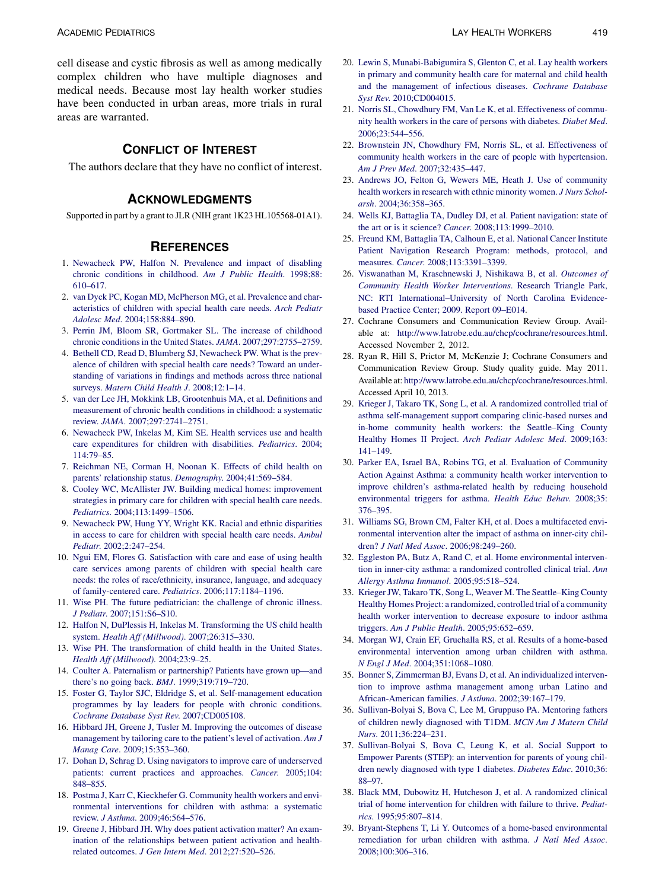<span id="page-11-0"></span>cell disease and cystic fibrosis as well as among medically complex children who have multiple diagnoses and medical needs. Because most lay health worker studies have been conducted in urban areas, more trials in rural areas are warranted.

The authors declare that they have no conflict of interest.

Supported in part by a grant to JLR (NIH grant 1K23 HL105568-01A1).

## **REFERENCES**

- 1. [Newacheck PW, Halfon N. Prevalence and impact of disabling](http://refhub.elsevier.com/S1876-2859(13)00125-3/sref1) [chronic conditions in childhood.](http://refhub.elsevier.com/S1876-2859(13)00125-3/sref1) Am J Public Health. 1998;88: [610–617.](http://refhub.elsevier.com/S1876-2859(13)00125-3/sref1)
- 2. [van Dyck PC, Kogan MD, McPherson MG, et al. Prevalence and char](http://refhub.elsevier.com/S1876-2859(13)00125-3/sref2)[acteristics of children with special health care needs.](http://refhub.elsevier.com/S1876-2859(13)00125-3/sref2) Arch Pediatr Adolesc Med[. 2004;158:884–890](http://refhub.elsevier.com/S1876-2859(13)00125-3/sref2).
- 3. [Perrin JM, Bloom SR, Gortmaker SL. The increase of childhood](http://refhub.elsevier.com/S1876-2859(13)00125-3/sref3) [chronic conditions in the United States.](http://refhub.elsevier.com/S1876-2859(13)00125-3/sref3) JAMA. 2007;297:2755–2759.
- 4. [Bethell CD, Read D, Blumberg SJ, Newacheck PW. What is the prev](http://refhub.elsevier.com/S1876-2859(13)00125-3/sref4)[alence of children with special health care needs? Toward an under](http://refhub.elsevier.com/S1876-2859(13)00125-3/sref4)[standing of variations in findings and methods across three national](http://refhub.elsevier.com/S1876-2859(13)00125-3/sref4) surveys. [Matern Child Health J](http://refhub.elsevier.com/S1876-2859(13)00125-3/sref4). 2008;12:1–14.
- 5. [van der Lee JH, Mokkink LB, Grootenhuis MA, et al. Definitions and](http://refhub.elsevier.com/S1876-2859(13)00125-3/sref5) [measurement of chronic health conditions in childhood: a systematic](http://refhub.elsevier.com/S1876-2859(13)00125-3/sref5) review. JAMA[. 2007;297:2741–2751](http://refhub.elsevier.com/S1876-2859(13)00125-3/sref5).
- 6. [Newacheck PW, Inkelas M, Kim SE. Health services use and health](http://refhub.elsevier.com/S1876-2859(13)00125-3/sref6) [care expenditures for children with disabilities.](http://refhub.elsevier.com/S1876-2859(13)00125-3/sref6) Pediatrics. 2004; [114:79–85](http://refhub.elsevier.com/S1876-2859(13)00125-3/sref6).
- 7. [Reichman NE, Corman H, Noonan K. Effects of child health on](http://refhub.elsevier.com/S1876-2859(13)00125-3/sref7) [parents' relationship status.](http://refhub.elsevier.com/S1876-2859(13)00125-3/sref7) Demography. 2004;41:569–584.
- 8. [Cooley WC, McAllister JW. Building medical homes: improvement](http://refhub.elsevier.com/S1876-2859(13)00125-3/sref8) [strategies in primary care for children with special health care needs.](http://refhub.elsevier.com/S1876-2859(13)00125-3/sref8) Pediatrics[. 2004;113:1499–1506.](http://refhub.elsevier.com/S1876-2859(13)00125-3/sref8)
- 9. [Newacheck PW, Hung YY, Wright KK. Racial and ethnic disparities](http://refhub.elsevier.com/S1876-2859(13)00125-3/sref9) [in access to care for children with special health care needs.](http://refhub.elsevier.com/S1876-2859(13)00125-3/sref9) Ambul Pediatr[. 2002;2:247–254](http://refhub.elsevier.com/S1876-2859(13)00125-3/sref9).
- 10. [Ngui EM, Flores G. Satisfaction with care and ease of using health](http://refhub.elsevier.com/S1876-2859(13)00125-3/sref10) [care services among parents of children with special health care](http://refhub.elsevier.com/S1876-2859(13)00125-3/sref10) [needs: the roles of race/ethnicity, insurance, language, and adequacy](http://refhub.elsevier.com/S1876-2859(13)00125-3/sref10) [of family-centered care.](http://refhub.elsevier.com/S1876-2859(13)00125-3/sref10) Pediatrics. 2006;117:1184–1196.
- 11. [Wise PH. The future pediatrician: the challenge of chronic illness.](http://refhub.elsevier.com/S1876-2859(13)00125-3/sref11) J Pediatr[. 2007;151:S6–S10.](http://refhub.elsevier.com/S1876-2859(13)00125-3/sref11)
- 12. [Halfon N, DuPlessis H, Inkelas M. Transforming the US child health](http://refhub.elsevier.com/S1876-2859(13)00125-3/sref12) system. [Health Aff \(Millwood\)](http://refhub.elsevier.com/S1876-2859(13)00125-3/sref12). 2007;26:315–330.
- 13. [Wise PH. The transformation of child health in the United States.](http://refhub.elsevier.com/S1876-2859(13)00125-3/sref13) [Health Aff \(Millwood\)](http://refhub.elsevier.com/S1876-2859(13)00125-3/sref13). 2004;23:9–25.
- 14. [Coulter A. Paternalism or partnership? Patients have grown up—and](http://refhub.elsevier.com/S1876-2859(13)00125-3/sref14) [there's no going back.](http://refhub.elsevier.com/S1876-2859(13)00125-3/sref14) *BMJ*. 1999;319:719-720.
- 15. [Foster G, Taylor SJC, Eldridge S, et al. Self-management education](http://refhub.elsevier.com/S1876-2859(13)00125-3/sref15) [programmes by lay leaders for people with chronic conditions.](http://refhub.elsevier.com/S1876-2859(13)00125-3/sref15) [Cochrane Database Syst Rev](http://refhub.elsevier.com/S1876-2859(13)00125-3/sref15). 2007;CD005108.
- 16. [Hibbard JH, Greene J, Tusler M. Improving the outcomes of disease](http://refhub.elsevier.com/S1876-2859(13)00125-3/sref16) [management by tailoring care to the patient's level of activation.](http://refhub.elsevier.com/S1876-2859(13)00125-3/sref16) Am J Manag Care[. 2009;15:353–360.](http://refhub.elsevier.com/S1876-2859(13)00125-3/sref16)
- 17. Dohan [D, Schrag D. Using navigators to improve care of underserved](http://refhub.elsevier.com/S1876-2859(13)00125-3/sref17) [patients: current practices and approaches.](http://refhub.elsevier.com/S1876-2859(13)00125-3/sref17) Cancer. 2005;104: [848–855.](http://refhub.elsevier.com/S1876-2859(13)00125-3/sref17)
- 18. [Postma J, Karr C, Kieckhefer G. Community health workers and envi](http://refhub.elsevier.com/S1876-2859(13)00125-3/sref18)[ronmental interventions for children with asthma: a systematic](http://refhub.elsevier.com/S1876-2859(13)00125-3/sref18) review. J Asthma[. 2009;46:564–576.](http://refhub.elsevier.com/S1876-2859(13)00125-3/sref18)
- 19. [Greene J, Hibbard JH. Why does patient activation matter? An exam](http://refhub.elsevier.com/S1876-2859(13)00125-3/sref19)[ination of the relationships between patient activation and health](http://refhub.elsevier.com/S1876-2859(13)00125-3/sref19)related outcomes. J Gen Intern Med[. 2012;27:520–526](http://refhub.elsevier.com/S1876-2859(13)00125-3/sref19).
- 20. [Lewin S, Munabi-Babigumira S, Glenton C, et al. Lay health workers](http://refhub.elsevier.com/S1876-2859(13)00125-3/sref20) [in primary and community health care for maternal and child health](http://refhub.elsevier.com/S1876-2859(13)00125-3/sref20) [and the management of infectious diseases.](http://refhub.elsevier.com/S1876-2859(13)00125-3/sref20) Cochrane Database Syst Rev[. 2010;CD004015.](http://refhub.elsevier.com/S1876-2859(13)00125-3/sref20)
- 21. [Norris SL, Chowdhury FM, Van Le K, et al. Effectiveness of commu](http://refhub.elsevier.com/S1876-2859(13)00125-3/sref21)[nity health workers in the care of persons with diabetes.](http://refhub.elsevier.com/S1876-2859(13)00125-3/sref21) Diabet Med. [2006;23:544–556](http://refhub.elsevier.com/S1876-2859(13)00125-3/sref21).
- 22. [Brownstein JN, Chowdhury FM, Norris SL, et al. Effectiveness of](http://refhub.elsevier.com/S1876-2859(13)00125-3/sref22) [community health workers in the care of people with hypertension.](http://refhub.elsevier.com/S1876-2859(13)00125-3/sref22) Am J Prev Med[. 2007;32:435–447](http://refhub.elsevier.com/S1876-2859(13)00125-3/sref22).
- 23. [Andrews JO, Felton G, Wewers ME, Heath J. Use of community](http://refhub.elsevier.com/S1876-2859(13)00125-3/sref23) [health workers in research with ethnic minority women.](http://refhub.elsevier.com/S1876-2859(13)00125-3/sref23) J Nurs Scholarsh[. 2004;36:358–365.](http://refhub.elsevier.com/S1876-2859(13)00125-3/sref23)
- 24. [Wells KJ, Battaglia TA, Dudley DJ, et al. Patient navigation: state of](http://refhub.elsevier.com/S1876-2859(13)00125-3/sref24) [the art or is it science?](http://refhub.elsevier.com/S1876-2859(13)00125-3/sref24) Cancer. 2008;113:1999–2010.
- 25. [Freund KM, Battaglia TA, Calhoun E, et al. National Cancer Institute](http://refhub.elsevier.com/S1876-2859(13)00125-3/sref25) [Patient Navigation Research Program: methods, protocol, and](http://refhub.elsevier.com/S1876-2859(13)00125-3/sref25) measures. Cancer[. 2008;113:3391–3399](http://refhub.elsevier.com/S1876-2859(13)00125-3/sref25).
- 26. [Viswanathan M, Kraschnewski J, Nishikawa B, et al.](http://refhub.elsevier.com/S1876-2859(13)00125-3/sref26) Outcomes of [Community Health Worker Interventions](http://refhub.elsevier.com/S1876-2859(13)00125-3/sref26). Research Triangle Park, [NC: RTI International–University of North Carolina Evidence](http://refhub.elsevier.com/S1876-2859(13)00125-3/sref26)[based Practice Center; 2009. Report 09–E014](http://refhub.elsevier.com/S1876-2859(13)00125-3/sref26).
- 27. Cochrane Consumers and Communication Review Group. Available at: [http://www.latrobe.edu.au/chcp/cochrane/resources.html.](http://www.latrobe.edu.au/chcp/cochrane/resources.html) Accessed November 2, 2012.
- 28. Ryan R, Hill S, Prictor M, McKenzie J; Cochrane Consumers and Communication Review Group. Study quality guide. May 2011. Available at: [http://www.latrobe.edu.au/chcp/cochrane/resources.html.](http://www.latrobe.edu.au/chcp/cochrane/resources.html) Accessed April 10, 2013.
- 29. [Krieger J, Takaro TK, Song L, et al. A randomized controlled trial of](http://refhub.elsevier.com/S1876-2859(13)00125-3/sref27) [asthma self-management support comparing clinic-based nurses and](http://refhub.elsevier.com/S1876-2859(13)00125-3/sref27) [in-home community health workers: the Seattle–King County](http://refhub.elsevier.com/S1876-2859(13)00125-3/sref27) Healthy Homes II Project. [Arch Pediatr Adolesc Med](http://refhub.elsevier.com/S1876-2859(13)00125-3/sref27). 2009;163: [141–149.](http://refhub.elsevier.com/S1876-2859(13)00125-3/sref27)
- 30. [Parker EA, Israel BA, Robins TG, et al. Evaluation of Community](http://refhub.elsevier.com/S1876-2859(13)00125-3/sref28) [Action Against Asthma: a community health worker intervention to](http://refhub.elsevier.com/S1876-2859(13)00125-3/sref28) [improve children's asthma-related health by reducing household](http://refhub.elsevier.com/S1876-2859(13)00125-3/sref28) [environmental triggers for asthma.](http://refhub.elsevier.com/S1876-2859(13)00125-3/sref28) Health Educ Behav. 2008;35: [376–395.](http://refhub.elsevier.com/S1876-2859(13)00125-3/sref28)
- 31. [Williams SG, Brown CM, Falter KH, et al. Does a multifaceted envi](http://refhub.elsevier.com/S1876-2859(13)00125-3/sref29)[ronmental intervention alter the impact of asthma on inner-city chil](http://refhub.elsevier.com/S1876-2859(13)00125-3/sref29)dren? J Natl Med Assoc[. 2006;98:249–260](http://refhub.elsevier.com/S1876-2859(13)00125-3/sref29).
- 32. [Eggleston PA, Butz A, Rand C, et al. Home environmental interven](http://refhub.elsevier.com/S1876-2859(13)00125-3/sref30)[tion in inner-city asthma: a randomized controlled clinical trial.](http://refhub.elsevier.com/S1876-2859(13)00125-3/sref30) Ann [Allergy Asthma Immunol](http://refhub.elsevier.com/S1876-2859(13)00125-3/sref30). 2005;95:518–524.
- 33. [Krieger JW, Takaro TK, Song L, Weaver M. The Seattle–King County](http://refhub.elsevier.com/S1876-2859(13)00125-3/sref31) [Healthy Homes Project: a randomized, controlled trial of a community](http://refhub.elsevier.com/S1876-2859(13)00125-3/sref31) [health worker intervention to decrease exposure to indoor asthma](http://refhub.elsevier.com/S1876-2859(13)00125-3/sref31) triggers. [Am J Public Health](http://refhub.elsevier.com/S1876-2859(13)00125-3/sref31). 2005;95:652–659.
- 34. [Morgan WJ, Crain EF, Gruchalla RS, et al. Results of a home-based](http://refhub.elsevier.com/S1876-2859(13)00125-3/sref32) [environmental intervention among urban children with asthma.](http://refhub.elsevier.com/S1876-2859(13)00125-3/sref32) N Engl J Med[. 2004;351:1068–1080](http://refhub.elsevier.com/S1876-2859(13)00125-3/sref32).
- 35. [Bonner S, Zimmerman BJ, Evans D, et al. An individualized interven](http://refhub.elsevier.com/S1876-2859(13)00125-3/sref33)[tion to improve asthma management among urban Latino and](http://refhub.elsevier.com/S1876-2859(13)00125-3/sref33) [African-American families.](http://refhub.elsevier.com/S1876-2859(13)00125-3/sref33) J Asthma. 2002;39:167–179.
- 36. [Sullivan-Bolyai S, Bova C, Lee M, Gruppuso PA. Mentoring fathers](http://refhub.elsevier.com/S1876-2859(13)00125-3/sref34) [of children newly diagnosed with T1DM.](http://refhub.elsevier.com/S1876-2859(13)00125-3/sref34) MCN Am J Matern Child Nurs[. 2011;36:224–231.](http://refhub.elsevier.com/S1876-2859(13)00125-3/sref34)
- 37. [Sullivan-Bolyai S, Bova C, Leung K, et al. Social Support to](http://refhub.elsevier.com/S1876-2859(13)00125-3/sref35) [Empower Parents \(STEP\): an intervention for parents of young chil](http://refhub.elsevier.com/S1876-2859(13)00125-3/sref35)[dren newly diagnosed with type 1 diabetes.](http://refhub.elsevier.com/S1876-2859(13)00125-3/sref35) Diabetes Educ. 2010;36: [88–97](http://refhub.elsevier.com/S1876-2859(13)00125-3/sref35).
- 38. [Black MM, Dubowitz H, Hutcheson J, et al. A randomized clinical](http://refhub.elsevier.com/S1876-2859(13)00125-3/sref36) [trial of home intervention for children with failure to thrive.](http://refhub.elsevier.com/S1876-2859(13)00125-3/sref36) Pediatrics[. 1995;95:807–814](http://refhub.elsevier.com/S1876-2859(13)00125-3/sref36).
- 39. [Bryant-Stephens T, Li Y. Outcomes of a home-based environmental](http://refhub.elsevier.com/S1876-2859(13)00125-3/sref37) [remediation for urban children with asthma.](http://refhub.elsevier.com/S1876-2859(13)00125-3/sref37) J Natl Med Assoc. [2008;100:306–316](http://refhub.elsevier.com/S1876-2859(13)00125-3/sref37).